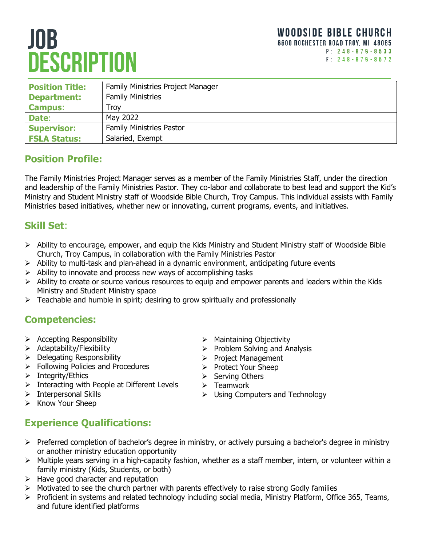# **JOB DESCRIPTION**

| <b>Position Title:</b> | <b>Family Ministries Project Manager</b> |
|------------------------|------------------------------------------|
| <b>Department:</b>     | <b>Family Ministries</b>                 |
| <b>Campus:</b>         | Trov                                     |
| Date:                  | May 2022                                 |
| <b>Supervisor:</b>     | <b>Family Ministries Pastor</b>          |
| <b>FSLA Status:</b>    | Salaried, Exempt                         |
|                        |                                          |

### **Position Profile:**

The Family Ministries Project Manager serves as a member of the Family Ministries Staff, under the direction and leadership of the Family Ministries Pastor. They co-labor and collaborate to best lead and support the Kid's Ministry and Student Ministry staff of Woodside Bible Church, Troy Campus. This individual assists with Family Ministries based initiatives, whether new or innovating, current programs, events, and initiatives.

#### **Skill Set**:

- Ability to encourage, empower, and equip the Kids Ministry and Student Ministry staff of Woodside Bible Church, Troy Campus, in collaboration with the Family Ministries Pastor
- $\triangleright$  Ability to multi-task and plan-ahead in a dynamic environment, anticipating future events
- $\triangleright$  Ability to innovate and process new ways of accomplishing tasks
- $\triangleright$  Ability to create or source various resources to equip and empower parents and leaders within the Kids Ministry and Student Ministry space
- $\triangleright$  Teachable and humble in spirit; desiring to grow spiritually and professionally

#### **Competencies:**

- $\triangleright$  Accepting Responsibility
- $\triangleright$  Adaptability/Flexibility
- $\triangleright$  Delegating Responsibility
- **Following Policies and Procedures**
- $\triangleright$  Integrity/Ethics
- $\triangleright$  Interacting with People at Different Levels
- $\triangleright$  Interpersonal Skills
- $\triangleright$  Know Your Sheep
- $\triangleright$  Maintaining Objectivity
- $\triangleright$  Problem Solving and Analysis
- Project Management
- > Protect Your Sheep
- $\triangleright$  Serving Others
- $\triangleright$  Teamwork
- $\triangleright$  Using Computers and Technology
- **Experience Qualifications:**
- $\triangleright$  Preferred completion of bachelor's degree in ministry, or actively pursuing a bachelor's degree in ministry or another ministry education opportunity
- Multiple years serving in a high-capacity fashion, whether as a staff member, intern, or volunteer within a family ministry (Kids, Students, or both)
- $\triangleright$  Have good character and reputation
- $\triangleright$  Motivated to see the church partner with parents effectively to raise strong Godly families
- Proficient in systems and related technology including social media, Ministry Platform, Office 365, Teams, and future identified platforms